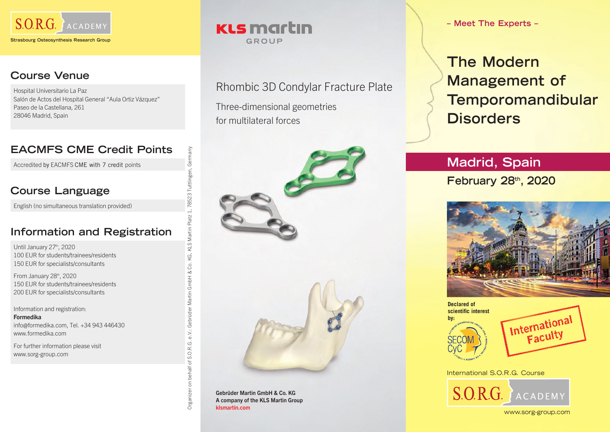

#### **Course Venue**

Hospital Universitario La Paz Salón de Actos del Hospital General "Aula Ortiz Vázquez" Paseo de la Castellana, 261 28046 Madrid, Spain

## **EACMFS CME Credit Points**

Accredited by EACMFS CME with 7 credit points

#### **Course Language**

English (no simultaneous translation provided)

#### **Information and Registration**

Until January 27<sup>th</sup>, 2020 100 EUR for students/trainees/residents 150 EUR for specialists/consultants

From January 28th, 2020 150 EUR for students/trainees/residents 200 EUR for specialists/consultants

Information and registration: Formedika info@formedika.com, Tel. +34 943 446430 www.formedika.com

For further information please visit www.sorg-group.com

### **KLS martin** GROUP

Rhombic 3D Condylar Fracture Plate Three-dimensional geometries for multilateral forces



Gebrüder Martin GmbH & Co. KG A company of the KLS Martin Group klsmartin.com

Organizer on behalf of S.O.R.G. e.V.: Gebrüder Martin GmbH & Co. KG, KLS Martin Platz 1, 78523 Tuttlingen, Germany

GmbH & Co.

Martin (

Gebrüder

 $e.V.$ 

of S.O.R.G.

behalf  $\overline{a}$ 

Organizer

Germany

Tuttlinger

785231

KLS Martin Platz

ΚG,

**– Meet The Experts –**

**The Modern Management of Temporomandibular Disorders**

# **Madrid, Spain**

**February 28th, 2020**







International S.O.R.G. Course S.O.R.G.  $\{ACADEM\}$ 

www.sorg-group.com